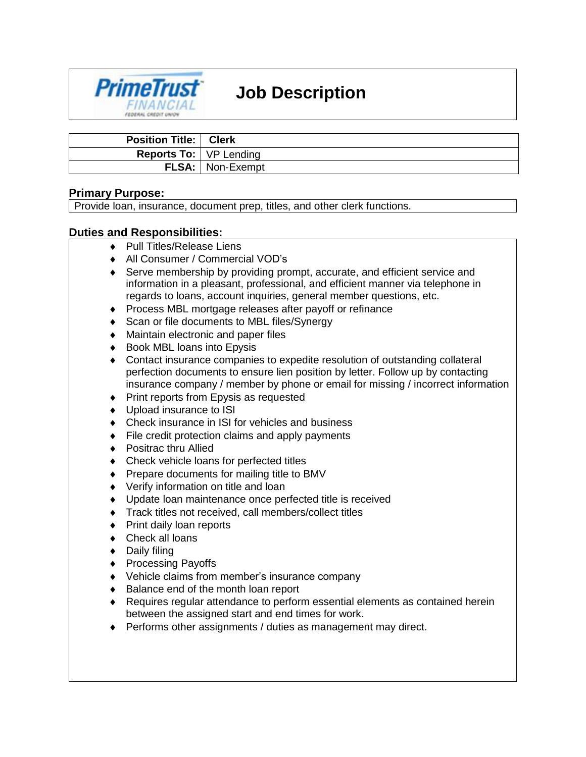# **Job Description**



| <b>Position Title:   Clerk</b>  |                           |
|---------------------------------|---------------------------|
| <b>Reports To:</b>   VP Lending |                           |
|                                 | <b>FLSA:</b>   Non-Exempt |

### **Primary Purpose:**

Provide loan, insurance, document prep, titles, and other clerk functions.

### **Duties and Responsibilities:**

- ◆ Pull Titles/Release Liens
- All Consumer / Commercial VOD's
- Serve membership by providing prompt, accurate, and efficient service and information in a pleasant, professional, and efficient manner via telephone in regards to loans, account inquiries, general member questions, etc.
- Process MBL mortgage releases after payoff or refinance
- ◆ Scan or file documents to MBL files/Synergy
- Maintain electronic and paper files
- ◆ Book MBL loans into Epysis
- Contact insurance companies to expedite resolution of outstanding collateral perfection documents to ensure lien position by letter. Follow up by contacting insurance company / member by phone or email for missing / incorrect information
- Print reports from Epysis as requested
- Upload insurance to ISI
- ◆ Check insurance in ISI for vehicles and business
- ◆ File credit protection claims and apply payments
- ◆ Positrac thru Allied
- Check vehicle loans for perfected titles
- ◆ Prepare documents for mailing title to BMV
- Verify information on title and loan
- Update loan maintenance once perfected title is received
- Track titles not received, call members/collect titles
- ◆ Print daily loan reports
- ◆ Check all loans
- ◆ Daily filing
- ◆ Processing Payoffs
- Vehicle claims from member's insurance company
- ◆ Balance end of the month loan report
- Requires regular attendance to perform essential elements as contained herein between the assigned start and end times for work.
- Performs other assignments / duties as management may direct.